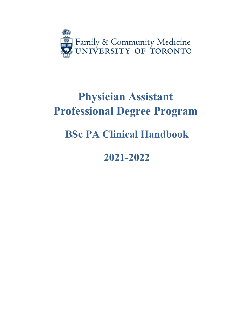

# **Physician Assistant Professional Degree Program**

# **BSc PA Clinical Handbook**

# **2021-2022**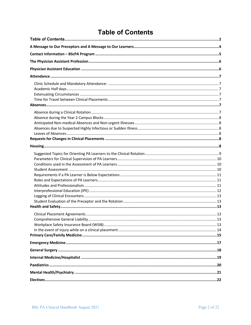# **Table of Contents**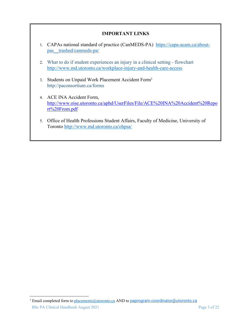## **IMPORTANT LINKS**

- 1. CAPAs national standard of practice (CanMEDS-PA) https://capa-acam.ca/aboutpas\_\_trashed/canmeds-pa/
- 2. What to do if student experiences an injury in a clinical setting flowchart http://www.md.utoronto.ca/workplace-injury-and-health-care-access
- 3. Students on Unpaid Work Placement Accident Form1 http://paconsortium.ca/forms
- 4. ACE INA Accident Form, http://www.oise.utoronto.ca/aphd/UserFiles/File/ACE%20INA%20Accident%20Repo rt%20From.pdf
- 5. Office of Health Professions Student Affairs, Faculty of Medicine, University of Toronto http://www.md.utoronto.ca/ohpsa/

<sup>&</sup>lt;sup>1</sup> Email completed form to placements@utoronto.ca AND to paprogram.coordinator@utoronto.ca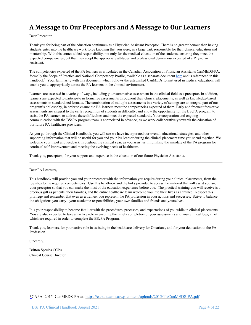# **A Message to Our Preceptors and A Message to Our Learners**

Dear Preceptor,

Thank you for being part of the education continuum as a Physician Assistant Preceptor. There is no greater honour than having students enter into the healthcare work force knowing that you were, in a large part, responsible for their clinical education and mentorship. With this comes added responsibility, not only for the medical education of the students, ensuring they meet the expected competencies, but that they adopt the appropriate attitudes and professional demeanour expected of a Physician Assistant.

The competencies expected of the PA learners as articulated in the Canadian Association of Physician Assistants CanMEDS-PA, formally the Scope of Practice and National Competency Profile, available as a separate document here and is referenced in this handbook<sup>2</sup>. Your familiarity with this document, which follows the established CanMEDs format used in medical education, will enable you to appropriately assess the PA learners in the clinical environment.

Learners are assessed in a variety of ways, including your summative assessment in the clinical field as a preceptor. In addition, learners are expected to participate in formative assessments throughout their clinical placements, as well as knowledge-based assessments in standardized formats. The combination of multiple assessments in a variety of settings are an integral part of our program's philosophy, in order to ensure the PA learners meet the competencies expected of them. Early and frequent formative assessments are integral to the early recognition of students in difficulty, and allow the opportunity for the BScPA program to assist the PA learners to address these difficulties and meet the expected standards. Your cooperation and ongoing communication with the BScPA program team is appreciated in advance, as we work collaboratively towards the education of our future PA healthcare providers.

As you go through the Clinical Handbook, you will see we have incorporated our overall educational strategies, and other supporting information that will be useful for you and your PA learner during the clinical placement time you spend together. We welcome your input and feedback throughout the clinical year, as you assist us in fulfilling the mandate of the PA program for continual self-improvement and meeting the evolving needs of healthcare.

Thank you, preceptors, for your support and expertise in the education of our future Physician Assistants.

Dear PA Learners,

This handbook will provide you and your preceptor with the information you require during your clinical placements, from the logistics to the required competencies. Use this handbook and the links provided to access the material that will assist you and your preceptor so that you can make the most of the education experience before you. The practical training you will receive is a precious gift as patients, their families, and the entire healthcare team welcome you into their lives as a trainee. Respect this privilege and remember that even as a trainee, you represent the PA profession in your actions and successes. Strive to balance the obligations you carry - your academic responsibilities, your own families and friends and yourselves.

It is your responsibility to become familiar with the procedures, processes, and expectations of you while in clinical placements. You are also expected to take an active role in ensuring the timely completion of your assessments and your clinical logs, all of which are required in order to complete the BScPA Program.

Thank you, learners, for your active role in assisting in the healthcare delivery for Ontarians, and for your dedication to the PA Profession.

Sincerely,

Britton Sprules CCPA Clinical Course Director

<sup>2</sup> CAPA, 2015 CanMEDS-PA at: https://capa-acam.ca/wp-content/uploads/2015/11/CanMEDS-PA.pdf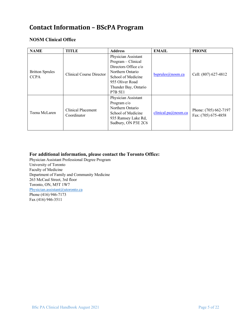# **Contact Information - BScPA Program**

## **NOSM Clinical Office**

| <b>NAME</b>                           | <b>TITLE</b>                      | <b>Address</b>                                                                                                                                                             | <b>EMAIL</b>        | <b>PHONE</b>                                 |
|---------------------------------------|-----------------------------------|----------------------------------------------------------------------------------------------------------------------------------------------------------------------------|---------------------|----------------------------------------------|
| <b>Britton Sprules</b><br><b>CCPA</b> | Clinical Course Director          | Physician Assistant<br>Program - Clinical<br>Directors Office $c/o$<br>Northern Ontario<br>School of Medicine<br>955 Oliver Road<br>Thunder Bay, Ontario<br><b>P7B 5E1</b> | bsprules@nosm.ca    | Cell: (807) 627-4812                         |
| Teena McLaren                         | Clinical Placement<br>Coordinator | Physician Assistant<br>Program $c/o$<br>Northern Ontario<br>School of Medicine<br>935 Ramsey Lake Rd,<br>Sudbury, ON P3E 2C6                                               | clinical.pa@nosm.ca | Phone: (705) 662-7197<br>Fax: (705) 675-4858 |

## **For additional information, please contact the Toronto Office:**

Physician Assistant Professional Degree Program University of Toronto Faculty of Medicine Department of Family and Community Medicine 263 McCaul Street, 3rd floor Toronto, ON, M5T 1W7 Physician.assistant@utoronto.ca Phone (416) 946-7173 Fax (416) 946-3511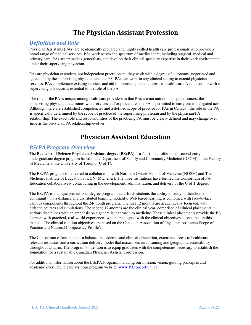# **The Physician Assistant Profession**

# **Definition and Role**

Physician Assistants (PAs) are academically prepared and highly skilled health care professionals who provide a broad range of medical services. PAs work across the spectrum of medical care, including surgical, medical and primary care. PAs are trained as generalists, and develop their clinical specialty expertise in their work environment under their supervising physician.

PAs are physician extenders, not independent practitioners; they work with a degree of autonomy, negotiated and agreed on by the supervising physician and the PA. PAs can work in any clinical setting to extend physician services. PAs complement existing services and aid in improving patient access to health care. A relationship with a supervising physician is essential to the role of the PA.

The role of the PA is unique among healthcare providers in that PAs are not autonomous practitioners; the supervising physician determines what services and/or procedures the PA is permitted to carry out as delegated acts. Although there are established competencies and a defined scope of practice for PAs in Canada<sup>1</sup>, the role of the PA is specifically determined by the scope of practice of the supervising physician and by the physician/PA relationship. The exact role and responsibilities of the practicing PA must be clearly defined and may change over time as the physician/PA relationship evolves.

# **Physician Assistant Education**

## *BScPA Program Overview*

The **Bachelor of Science Physician Assistant degree** (**BScPA**) is a full-time professional, second-entry undergraduate degree program based in the Department of Family and Community Medicine (DFCM) in the Faculty of Medicine at the University of Toronto (U of T).

The BScPA program is delivered in collaboration with Northern Ontario School of Medicine (NOSM) and The Michener Institute of Education at UHN (Michener). The three institutions have formed the Consortium of PA Education collaboratively contributing in the development, administration, and delivery of the U of T degree.

The BScPA is a unique professional degree program that affords students the ability to study in their home community via a distance and distributed learning modality. Web based learning is combined with face-to-face campus components throughout the 24-month program. The first 12 months are academically focussed, with didactic courses and simulations. The second 12-months are the clinical year, comprised of clinical placements in various disciplines with an emphasis on a generalist approach to medicine. These clinical placements provide the PA learners with practical, real-world experiences which are aligned with the clinical objectives, as outlined in this manual. The clinical rotation objectives are based on the Canadian Association of Physician Assistants Scope of Practice and National Competency Profile<sup>1</sup>.

The Consortium offers students a balance in academic and clinical orientation, extensive access to healthcare relevant resources and a curriculum delivery model that maximizes rural training and geographic accessibility throughout Ontario. The program's intention is to equip graduates with the competencies necessary to establish the foundation for a sustainable Canadian Physician Assistant profession.

For additional information about the BScPA Program, including our mission, vision, guiding principles and academic overview, please visit our program website: www.PAconcortium.ca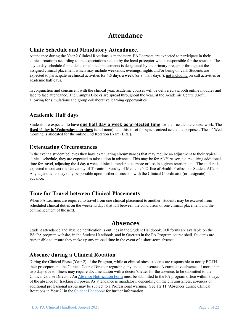# **Attendance**

## **Clinic Schedule and Mandatory Attendance**:

Attendance during the Year 2 Clinical Rotations is mandatory. PA Learners are expected to participate in their clinical rotations according to the expectations set out by the local preceptor who is responsible for the rotation. The day to day schedule for students on clinical placements is designated by the primary preceptor throughout the assigned clinical placement which may include weekends, evenings, nights and/or being on-call. Students are expected to participate in clinical activities for **4.5 days a week** (or 9 "half-days"), not including on-call activities or academic half days.

In conjunction and concurrent with the clinical year, academic courses will be delivered via both online modules and face to face attendance. The Campus Blocks are spread throughout the year, at the Academic Centre (UofT), allowing for simulations and group collaborative learning opportunities.

# **Academic Half days**

Students are expected to have **one half day a week as protected time** for their academic course work. The **fixed**  $\frac{1}{2}$  **day is Wednesday mornings** (until noon), and this is set for synchronized academic purposes. The 4<sup>th</sup> Wed morning is allocated for the online End Rotation Exam (ERE).

# **Extenuating Circumstances**

In the event a student believes they have extenuating circumstances that may require an adjustment to their typical clinical schedule, they are expected to take action in advance. This may be for ANY reason, i.e. requiring additional time for travel, adjusting the 4 day a week clinical attendance to more or less in a given rotation, etc. The student is expected to contact the University of Toronto's Faculty of Medicine's Office of Health Professions Student Affairs. Any adjustments may only be possible upon further discussion with the Clinical Coordinator (or designate) in advance.

## **Time for Travel between Clinical Placements**

When PA Learners are required to travel from one clinical placement to another, students may be excused from scheduled clinical duties on the weekend days that fall between the conclusion of one clinical placement and the commencement of the next.

# **Absences**

Student attendance and absence notification is outlines in the Student Handbook. All forms are available on the BScPA program website, in the Student Handbook, and in Quercus in the PA Program course shell. Students are responsible to ensure they make up any missed time in the event of a short-term absence.

# **Absence during a Clinical Rotation**

During the Clinical Phase (Year 2) of the Program, while at clinical sites, students are responsible to notify BOTH their preceptor and the Clinical Course Director regarding any and all absences. A cumulative absence of more than two days due to illness may require documentation with a doctor's letter for the absence, to be submitted to the Clinical Course Director. An Absence Notification Form must be submitted to the PA program office within 7 days of the absence for tracking purposes. As attendance is mandatory, depending on the circumstances, absences or additional professional issues may be subject to a Professional warning. See 1.2.11 'Absences during Clinical Rotations in Year 2' in the Student Handbook for further information.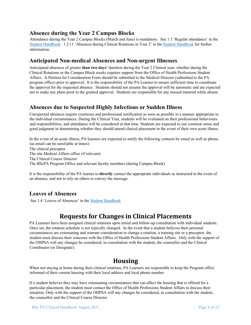# **Absence during the Year 2 Campus Blocks**

Attendance during the Year 2 Campus Blocks (March and June) is mandatory. See 1.1 'Regular attendance' in the Student Handbook. 1.2.11 'Absences during Clinical Rotations in Year 2' in the Student Handbook for further information.

## **Anticipated Non-medical Absences and Non-urgent Illnesses**

Anticipated absences of greater **than two days'** duration during the Year 2 Clinical year, whether during the Clinical Rotations or the Campus Block weeks requires support from the Office of Health Professions Student Affairs. A Petition for Consideration Form should be submitted to the Medical Director (submitted to the PA program office) prior to approval. It is the responsibility of the PA Learner to ensure sufficient time to coordinate the approval for the requested absence. Students should not assume the approval will be automatic and are expected not to make any plans prior to the granted approval. Students are responsible for any missed material while absent.

## **Absences due to Suspected Highly Infectious or Sudden Illness**

Unexpected absences require courteous and professional notification as soon as possible in a manner appropriate to the individual circumstances. During the Clinical Year, students will be evaluated on their professional behaviours and responsibilities, and attendance will be considered at that time. Students are expected to use common sense and good judgment in determining whether they should attend clinical placement in the event of their own acute illness.

In the event of an acute illness, PA learners are expected to notify the following contacts by email as well as phone, (as email can be unreliable at times): The clinical preceptor The site Medical Affairs office (if relevant) The Clinical Course Director The BScPA Program Office and relevant faculty members (during Campus Block)

It is the responsibility of the PA learner to **directly** contact the appropriate individuals as instructed in the event of an absence, and not to rely on others to convey the message.

# **Leaves of Absences**

See 1.4 'Leaves of Absences' in the **Student Handbook** 

# **Requests for Changes in Clinical Placements**

PA Learners have been assigned clinical rotations upon initial and follow-up consultation with individual students. Once set, the rotation schedule is not typically changed. In the event that a student believes their personal circumstances are extenuating and warrant consideration to change a rotation, a training site or a preceptor, the student must discuss their concerns with the Office of Health Professions Student Affairs. Only with the support of the OHPSA will any changes be considered, in consultation with the student, the counsellor and the Clinical Coordinator (or Designate).

# **Housing**

When not staying at home during their clinical rotations, PA Learners are responsible to keep the Program office informed of their current housing with their local address and local phone number.

If a student believes they may have extenuating circumstances that can affect the housing that is offered for a particular placement, the student must contact the Office of Health Professions Student Affairs to discuss their situation. Only with the support of the OHPSA will any changes be considered, in consultation with the student, the counsellor and the Clinical Course Director.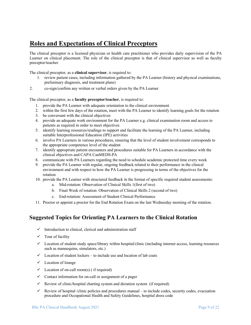# **Roles and Expectations of Clinical Preceptors**

The clinical preceptor is a licensed physician or health care practitioner who provides daily supervision of the PA Learner on clinical placement. The role of the clinical preceptor is that of clinical supervisor as well as faculty preceptor/teacher.

The clinical preceptor, as a **clinical supervisor**, is required to:

- 1. review patient cases, including information gathered by the PA Learner (history and physical examinations, preliminary diagnosis, and treatment plans)
- 2. co-sign/confirm any written or verbal orders given by the PA Learner

The clinical preceptor, as a **faculty preceptor/teacher**, is required to:

- 1. provide the PA Learner with adequate orientation to the clinical environment
- 2. within the first few days of the rotation, meet with the PA Learner to identify learning goals for the rotation
- 3. be conversant with the clinical objectives
- 4. provide an adequate work environment for the PA Learner e.g. clinical examination room and access to patients as required in order to meet objectives
- 5. identify learning resources/readings to support and facilitate the learning of the PA Learner, including suitable Interprofessional Education (IPE) activities
- 6. involve PA Learners in various procedures, ensuring that the level of student involvement corresponds to the appropriate competence level of the student
- 7. identify appropriate patient encounters and procedures suitable for PA Learners in accordance with the clinical objectives and CAPA CanMEDS-PA
- 8. communicate with PA Learners regarding the need to schedule academic protected time every week
- 9. provide the PA Learner with regular, ongoing feedback related to their performance in the clinical environment and with respect to how the PA Learner is progressing in terms of the objectives for the rotation
- 10. provide the PA Learner with structured feedback in the format of specific required student assessments:
	- a. Mid-rotation: Observation of Clinical Skills 1(first of two)
	- b. Final Week of rotation: Observation of Clinical Skills 2 (second of two)
	- c. End-rotation: Assessment of Student Clinical Performance
- 11. Proctor or appoint a proctor for the End Rotation Exam on the last Wednesday morning of the rotation.

# **Suggested Topics for Orienting PA Learners to the Clinical Rotation**

- $\checkmark$  Introduction to clinical, clerical and administration staff
- $\checkmark$  Tour of facility
- $\checkmark$  Location of student study space/library within hospital/clinic (including internet access, learning resources such as mannequins, simulators, etc.)
- $\checkmark$  Location of student lockers to include use and location of lab coats
- $\checkmark$  Location of lounge
- $\checkmark$  Location of on-call room(s) ( if required)
- $\checkmark$  Contact information for on-call or assignment of a pager
- $\checkmark$  Review of clinic/hospital charting system and dictation system (if required)
- $\checkmark$  Review of hospital /clinic policies and procedures manual to include codes, security codes, evacuation procedure and Occupational Health and Safety Guidelines, hospital dress code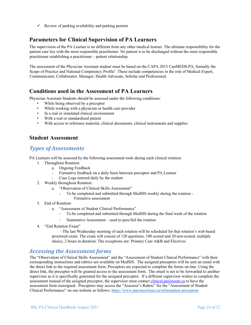$\checkmark$  Review of parking availability and parking permits

# **Parameters for Clinical Supervision of PA Learners**

The supervision of the PA Learner is no different from any other medical learner. The ultimate responsibility for the patient care lies with the most responsible practitioner. No patient is to be discharged without the most responsible practitioner establishing a practitioner – patient relationship.

The assessment of the Physician Assistant student must be based on the CAPA 2015 CanMEDS-PA, formally the Scope of Practice and National Competency Profile<sup>1</sup>. These include competencies in the role of Medical Expert, Communicator, Collaborator, Manager, Health Advocate, Scholar and Professional.

## **Conditions used in the Assessment of PA Learners**

Physician Assistant Students should be assessed under the following conditions:

- While being observed by a preceptor
- While working with a physician or health care provider
- In a real or simulated clinical environment
- With a real or standardized patient
- With access to reference material, clinical documents, clinical instruments and supplies

### **Student Assessment**

## *Types of Assessments*

PA Learners will be assessed by the following assessment tools during each clinical rotation:

- 1. Throughout Rotation:
	- a. Ongoing Feedback
	- Formative feedback on a daily basis between preceptor and PA Learner
	- Case Logs entered daily by the student
- 2. Weekly throughout Rotation:
	- a. "Observation of Clinical Skills Assessment"
		- To be completed and submitted through MedSIS weekly during the rotation -Formative assessment
- 3. End of Rotation:
	- a. "Assessment of Student Clinical Performance"
		- To be completed and submitted through MedSIS during the final week of the rotation
		- Summative Assessment used to pass/fail the rotation
- 4. "End Rotation Exam"

- The last Wednesday morning of each rotation will be scheduled for that rotation's web based proctored exam. The exam will consist of 120 questions, 100 scored and 20 non-scored, multiple choice, 2 hours in duration. The exceptions are: Primary Care A&B and Electives

## Accessing the Assessment forms

The "Observation of Clinical Skills Assessment" and the "Assessment of Student Clinical Performance" with their corresponding instructions and rubrics are available on MedSIS. The assigned preceptors will be sent an email with the direct link to the required assessment form. Preceptors are expected to complete the forms on-line. Using the direct link, the preceptor will be granted access to the assessment form. The email is not to be forwarded to another supervisor as it is specifically generated for the assigned preceptor. If a different supervisor wishes to complete the assessment instead of the assigned preceptor, the supervisor must contact clinical.pa@nosm.ca to have the assessment form reassigned. Preceptors may access the "Assessor's Rubric" for the "Assessment of Student Clinical Performance" on our website as follows: https://www.paconsortium.ca/information-preceptors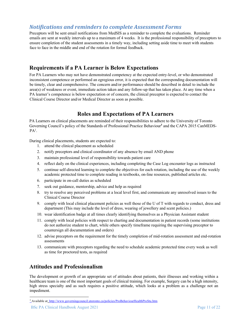## **Notifications and reminders to complete Assessment Forms**

Preceptors will be sent email notifications from MedSIS as a reminder to complete the evaluations. Reminder emails are sent at weekly intervals up to a maximum of 4 weeks. It is the professional responsibility of preceptors to ensure completion of the student assessments in a timely way, including setting aside time to meet with students face to face in the middle and end of the rotation for formal feedback.

# **Requirements if a PA Learner is Below Expectations**

For PA Learners who may not have demonstrated competency at the expected entry-level, or who demonstrated inconsistent competence or performed an egregious error, it is expected that the corresponding documentation will be timely, clear and comprehensive. The concern and/or performance should be described in detail to include the area(s) of weakness or event, immediate action taken and any follow-up that has taken place. At any time when a PA learner's competence is below expectation or of concern, the clinical preceptor is expected to contact the Clinical Course Director and/or Medical Director as soon as possible.

# **Roles and Expectations of PA Learners**

PA Learners on clinical placements are reminded of their responsibilities to adhere to the University of Toronto Governing Council's policy of the Standards of Professional Practice Behaviour**<sup>3</sup>** and the CAPA 2015 CanMEDS- $PA^1$ .

During clinical placements, students are expected to:

- 1. attend the clinical placement as scheduled
- 2. notify preceptors and clinical coordinator of any absence by email AND phone
- 3. maintain professional level of responsibility towards patient care
- 4. reflect daily on the clinical experiences, including completing the Case Log encounter logs as instructed
- 5. continue self-directed learning to complete the objectives for each rotation, including the use of the weekly academic protected time to complete reading in textbooks, on-line resources, published articles etc.
- 6. participate in on-call duties as scheduled
- 7. seek out guidance, mentorship, advice and help as required
- 8. try to resolve any perceived problems at a local level first, and communicate any unresolved issues to the Clinical Course Director
- 9. comply with local clinical placement policies as well those of the U of T with regards to conduct, dress and department (This may include the level of dress, wearing of jewellery and scent policies.)
- 10. wear identification badge at all times clearly identifying themselves as a Physician Assistant student
- 11. comply with local policies with respect to charting and documentation in patient records (some institutions do not authorize student to chart, while others specify timeframe requiring the supervising preceptor to countersign all documentation and orders)
- 12. advise preceptors on the requirement for the timely completion of mid-rotation assessment and end-rotation assessments
- 13. communicate with preceptors regarding the need to schedule academic protected time every week as well as time for proctored tests, as required

## **Attitudes and Professionalism**

The development or growth of an appropriate set of attitudes about patients, their illnesses and working within a healthcare team is one of the most important goals of clinical training. For example, Surgery can be a high intensity, high stress specialty and as such requires a positive attitude, which looks at a problem as a challenge not an impediment.

<sup>&</sup>lt;sup>3</sup> Available at: http://www.governingcouncil.utoronto.ca/policies/ProBehaviourHealthProStu.htm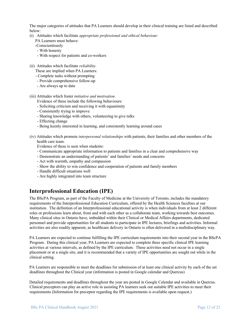The major categories of attitudes that PA Learners should develop in their clinical training are listed and described below:

(i) Attitudes which facilitate *appropriate professional and ethical behaviour.* 

PA Learners must behave:

- -Conscientiously
- With honesty
- With respect for patients and co-workers
- (ii) Attitudes which facilitate *reliability.*
	- These are implied when PA Learners:
	- Complete tasks without prompting
	- Provide comprehensive follow-up
	- Are always up to date
- (iii) Attitudes which foster *initiative and motivation*.
	- Evidence of these include the following behaviours:
	- Soliciting criticism and receiving it with equanimity
	- Consistently trying to improve
	- Sharing knowledge with others, volunteering to give talks
	- Effecting change
	- Being keenly interested in learning, and consistently learning around cases
- (iv) Attitudes which promote *interpersonal relationships* with patients, their families and other members of the health care team.
	- Evidence of these is seen when students:
	- Communicate appropriate information to patients and families in a clear and comprehensive way
	- Demonstrate an understanding of patients' and families' needs and concerns
	- Act with warmth, empathy and compassion
	- Show the ability to win confidence and cooperation of patients and family members
	- Handle difficult situations well
	- Are highly integrated into team structure

# **Interprofessional Education (IPE)**

The BScPA Program, as part of the Faculty of Medicine at the University of Toronto, includes the mandatory requirements of the Interprofessional Education Curriculum, offered by the Health Sciences faculties at our institution. The definition of an Interprofessional educational activity is when individuals from at least 2 different roles or professions learn about, from and with each other as a collaborate team, working towards best outcomes. Many clinical sites in Ontario have, imbedded within their Clinical or Medical Affairs departments, dedicated personnel and provide opportunities for all students to participate in IPE lectures, briefings and activities. Informal activities are also readily apparent, as healthcare delivery in Ontario is often delivered in a multidisciplinary way.

PA Learners are expected to continue fulfilling the IPE curriculum requirements into their second year in the BScPA Program. During this clinical year, PA Learners are expected to complete three specific clinical IPE learning activities at various intervals, as defined by the IPE curriculum. These activities need not occur in a single placement or at a single site, and it is recommended that a variety of IPE opportunities are sought out while in the clinical setting.

PA Learners are responsible to meet the deadlines for submission of at least one clinical activity by each of the set deadlines throughout the Clinical year (information is posted in Google calendar and Quercus)

Detailed requirements and deadlines throughout the year are posted in Google Calendar and available in Quercus. Clinical preceptors can play an active role in assisting PA learners seek out suitable IPE activities to meet their requirements (Information for preceptor regarding the IPE requirements is available upon request.)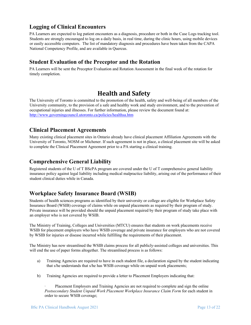# **Logging of Clinical Encounters**

PA Learners are expected to log patient encounters as a diagnosis, procedure or both in the Case Logs tracking tool. Students are strongly encouraged to log on a daily basis, in real time, during the clinic hours, using mobile devices or easily accessible computers. The list of mandatory diagnosis and procedures have been taken from the CAPA National Competency Profile, and are available in Quercus.

# **Student Evaluation of the Preceptor and the Rotation**

PA Learners will be sent the Preceptor Evaluation and Rotation Assessment in the final week of the rotation for timely completion.

# **Health and Safety**

The University of Toronto is committed to the promotion of the health, safety and well-being of all members of the University community, to the provision of a safe and healthy work and study environment, and to the prevention of occupational injuries and illnesses. For further information, please review the document found at: http://www.governingcouncil.utoronto.ca/policies/healthsa.htm

# **Clinical Placement Agreements**

Many existing clinical placement sites in Ontario already have clinical placement Affiliation Agreements with the University of Toronto, NOSM or Michener. If such agreement is not in place, a clinical placement site will be asked to complete the Clinical Placement Agreement prior to a PA starting a clinical training.

# **Comprehensive General Liability**

Registered students of the U of T BScPA program are covered under the U of T comprehensive general liability insurance policy against legal liability including medical malpractice liability, arising out of the performance of their student clinical duties while in Canada.

# **Workplace Safety Insurance Board (WSIB)**

Students of health sciences programs as identified by their university or college are eligible for Workplace Safety Insurance Board (WSIB) coverage of claims while on unpaid placements as required by their program of study. Private insurance will be provided should the unpaid placement required by their program of study take place with an employer who is not covered by WSIB.

The Ministry of Training, Colleges and Universities (MTCU) ensures that students on work placements receive WSIB for placement employers who have WSIB coverage and private insurance for employers who are not covered by WSIB for injuries or disease incurred while fulfilling the requirements of their placement.

The Ministry has now streamlined the WSIB claims process for all publicly-assisted colleges and universities. This will end the use of paper forms altogether. The streamlined process is as follows:

- a) Training Agencies are required to have in each student file, a declaration signed by the student indicating that s/he understands that s/he has WSIB coverage while on unpaid work placements;
- b) Training Agencies are required to provide a letter to Placement Employers indicating that:

Placement Employers and Training Agencies are not required to complete and sign the online *Postsecondary Student Unpaid Work Placement Workplace Insurance Claim Form* for each student in order to secure WSIB coverage;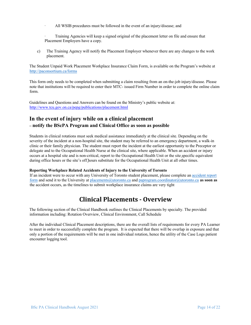- All WSIB procedures must be followed in the event of an injury/disease; and
- Training Agencies will keep a signed original of the placement letter on file and ensure that Placement Employers have a copy.
- c) The Training Agency will notify the Placement Employer whenever there are any changes to the work placement.

The Student Unpaid Work Placement Workplace Insurance Claim Form, is available on the Program's website at http://paconsortium.ca/forms

This form only needs to be completed when submitting a claim resulting from an on-the-job injury/disease. Please note that institutions will be required to enter their MTC- issued Firm Number in order to complete the online claim form.

Guidelines and Questions and Answers can be found on the Ministry's public website at: http://www.tcu.gov.on.ca/pepg/publications/placement.html

# **In the event of injury while on a clinical placement – notify the BScPA Program and Clinical Office as soon as possible**

Students in clinical rotations must seek medical assistance immediately at the clinical site. Depending on the severity of the incident at a non-hospital site, the student may be referred to an emergency department, a walk-in clinic or their family physician. The student must report the incident at the earliest opportunity to the Preceptor or delegate and to the Occupational Health Nurse at the clinical site, where applicable. When an accident or injury occurs at a hospital site and is non-critical, report to the Occupational Health Unit or the site specific equivalent during office hours or the site's off hours substitute for the Occupational Health Unit at all other times.

#### **Reporting Workplace Related Accidents of Injury to the University of Toronto**

If an incident were to occur with any University of Toronto student placement, please complete an accident report form and send it to the University at placements@utoronto.ca and paprogram.coordinator@utoronto.ca **as soon as** the accident occurs, as the timelines to submit workplace insurance claims are very tight

# **Clinical Placements - Overview**

The following section of the Clinical Handbook outlines the Clinical Placements by specialty. The provided information including: Rotation Overview, Clinical Environment, Call Schedule

After the individual Clinical Placement descriptions, there are the overall lists of requirements for every PA Learner to meet in order to successfully complete the program. It is expected that there will be overlap in exposure and that only a portion of the requirements will be met in one individual rotation, hence the utility of the Case Logs patient encounter logging tool.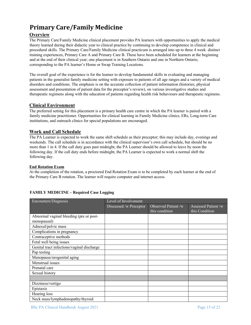# **Primary Care/Family Medicine**

### **Overview**

The Primary Care/Family Medicine clinical placement provides PA learners with opportunities to apply the medical theory learned during their didactic year to clinical practice by continuing to develop competence in clinical and procedural skills. The Primary Care/Family Medicine clinical practicum is arranged into up to three 4 week distinct training experiences, Primary Care A and Primary Care B. These have been scheduled for learners at the beginning and at the end of their clinical year; one placement is in Southern Ontario and one in Northern Ontario, corresponding to the PA learner's Home or Swap Training Locations.

The overall goal of the experience is for the learner to develop fundamental skills in evaluating and managing patients in the generalist family medicine setting with exposure to patients of all age ranges and a variety of medical disorders and conditions. The emphasis is on the accurate collection of patient information (histories, physical assessment and presentation of patient data for the preceptor's review), on various investigative studies and therapeutic regimens along with the education of patients regarding health risk behaviours and therapeutic regimens.

#### **Clinical Environment**

The preferred setting for this placement is a primary health care centre in which the PA learner is paired with a family medicine practitioner. Opportunities for clinical learning in Family Medicine clinics, ERs, Long-term Care institutions, and outreach clinics for special populations are encouraged.

#### **Work and Call Schedule**

The PA Learner is expected to work the same shift schedule as their preceptor; this may include day, evenings and weekends. The call schedule is in accordance with the clinical supervisor's own call schedule, but should be no more than 1 in 4. If the call duty goes past midnight, the PA Learner should be allowed to leave by noon the following day. If the call duty ends before midnight, the PA Learner is expected to work a normal shift the following day.

#### **End Rotation Exam**

At the completion of the rotation, a proctored End Rotation Exam is to be completed by each learner at the end of the Primary Care B rotation. The learner will require computer and internet access.

| Encounters/Diagnosis                       | Level of Involvement   |                                       |                                       |
|--------------------------------------------|------------------------|---------------------------------------|---------------------------------------|
|                                            | Discussed /w Preceptor | Observed Patient /w<br>this condition | Assessed Patient /w<br>this Condition |
| Abnormal vaginal bleeding (pre or post-    |                        |                                       |                                       |
| menopausal)                                |                        |                                       |                                       |
| Adnexal/pelvic mass                        |                        |                                       |                                       |
| Complications in pregnancy                 |                        |                                       |                                       |
| Contraceptive methods                      |                        |                                       |                                       |
| Fetal well being issues                    |                        |                                       |                                       |
| Genital tract infections/vaginal discharge |                        |                                       |                                       |
| Pap testing                                |                        |                                       |                                       |
| Menopause/urogenital aging                 |                        |                                       |                                       |
| Menstrual issues                           |                        |                                       |                                       |
| Prenatal care                              |                        |                                       |                                       |
| Sexual history                             |                        |                                       |                                       |
|                                            |                        |                                       |                                       |
| Dizziness/vertigo                          |                        |                                       |                                       |
| Epistaxis                                  |                        |                                       |                                       |
| Hearing loss                               |                        |                                       |                                       |
| Neck mass/lymphadenopathy/thyroid          |                        |                                       |                                       |

#### **FAMILY MEDICINE – Required Case Logging**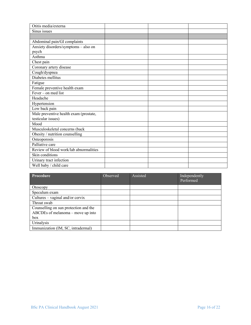| Otitis media/externa                   |  |  |
|----------------------------------------|--|--|
| Sinus issues                           |  |  |
|                                        |  |  |
| Abdominal pain/GI complaints           |  |  |
| Anxiety disorders/symptoms - also on   |  |  |
| psych                                  |  |  |
| Asthma                                 |  |  |
| Chest pain                             |  |  |
| Coronary artery disease                |  |  |
| Cough/dyspnea                          |  |  |
| Diabetes mellitus                      |  |  |
| Fatigue                                |  |  |
| Female preventive health exam          |  |  |
| Fever – on med list                    |  |  |
| Headache                               |  |  |
| Hypertension                           |  |  |
| Low back pain                          |  |  |
| Male preventive health exam (prostate, |  |  |
| testicular issues)                     |  |  |
| Mood                                   |  |  |
| Musculoskeletal concerns (back         |  |  |
| Obesity / nutrition counselling        |  |  |
| Osteoporosis                           |  |  |
| Palliative care                        |  |  |
| Review of blood work/lab abnormalities |  |  |
| Skin conditions                        |  |  |
| Urinary tract infection                |  |  |
| Well baby / child care                 |  |  |

| Procedure                             | <b>Observed</b> | Assisted | Independently |
|---------------------------------------|-----------------|----------|---------------|
|                                       |                 |          | Performed     |
| Otoscopy                              |                 |          |               |
| Speculum exam                         |                 |          |               |
| Cultures $-$ vaginal and/or cervix    |                 |          |               |
| Throat swab                           |                 |          |               |
| Counselling on sun protection and the |                 |          |               |
| ABCDEs of melanoma – move up into     |                 |          |               |
| box                                   |                 |          |               |
| Urinalysis                            |                 |          |               |
| Immunization (IM, SC, intradermal)    |                 |          |               |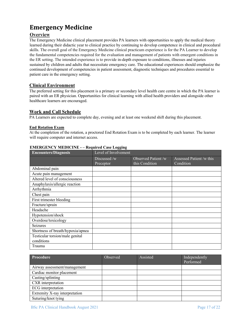# **Emergency Medicine**

### **Overview**

The Emergency Medicine clinical placement provides PA learners with opportunities to apply the medical theory learned during their didactic year to clinical practice by continuing to develop competence in clinical and procedural skills. The overall goal of the Emergency Medicine clinical practicum experience is for the PA Learner to develop the fundamental competencies required for the evaluation and management of patients with emergent conditions in the ER setting. The intended experience is to provide in-depth exposure to conditions, illnesses and injuries sustained by children and adults that necessitate emergency care. The educational experiences should emphasize the continued development of competencies in patient assessment, diagnostic techniques and procedures essential to patient care in the emergency setting.

### **Clinical Environment**

The preferred setting for this placement is a primary or secondary level health care centre in which the PA learner is paired with an ER physician. Opportunities for clinical learning with allied health providers and alongside other healthcare learners are encouraged.

#### **Work and Call Schedule**

PA Learners are expected to complete day, evening and at least one weekend shift during this placement.

#### **End Rotation Exam**

At the completion of the rotation, a proctored End Rotation Exam is to be completed by each learner. The learner will require computer and internet access.

|                                   | 88                   |                     |                          |  |
|-----------------------------------|----------------------|---------------------|--------------------------|--|
| <b>Encounters/Diagnosis</b>       | Level of Involvement |                     |                          |  |
|                                   | Discussed /w         | Observed Patient /w | Assessed Patient /w this |  |
|                                   | Preceptor            | this Condition      | Condition                |  |
| Abdominal pain                    |                      |                     |                          |  |
| Acute pain management             |                      |                     |                          |  |
| Altered level of consciousness    |                      |                     |                          |  |
| Anaphylaxis/allergic reaction     |                      |                     |                          |  |
| Arrhythmia                        |                      |                     |                          |  |
| Chest pain                        |                      |                     |                          |  |
| First trimester bleeding          |                      |                     |                          |  |
| Fracture/sprain                   |                      |                     |                          |  |
| Headache                          |                      |                     |                          |  |
| Hypotension/shock                 |                      |                     |                          |  |
| Overdose/toxicology               |                      |                     |                          |  |
| Seizures                          |                      |                     |                          |  |
| Shortness of breath/hypoxia/apnea |                      |                     |                          |  |
| Testicular torsion/male genital   |                      |                     |                          |  |
| conditions                        |                      |                     |                          |  |
| Trauma                            |                      |                     |                          |  |

#### **EMERGENCY MEDICINE - – Required Case Logging**

| Procedure                      | Observed | Assisted | Independently<br>Performed |
|--------------------------------|----------|----------|----------------------------|
| Airway assessment/management   |          |          |                            |
| Cardiac monitor placement      |          |          |                            |
| Casting/splinting              |          |          |                            |
| CXR interpretation             |          |          |                            |
| ECG interpretation             |          |          |                            |
| Extremity X-ray interpretation |          |          |                            |
| Suturing/knot tying            |          |          |                            |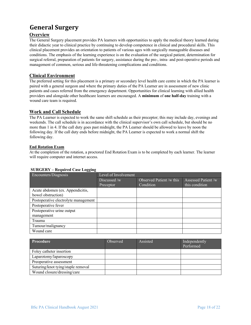# **General Surgery**

#### **Overview**

The General Surgery placement provides PA learners with opportunities to apply the medical theory learned during their didactic year to clinical practice by continuing to develop competence in clinical and procedural skills. This clinical placement provides an orientation to patients of various ages with surgically manageable diseases and conditions. The emphasis of the learning experience is on the evaluation of the surgical patient, determination for surgical referral, preparation of patients for surgery, assistance during the pre-, intra- and post-operative periods and management of common, serious and life-threatening complications and conditions.

#### **Clinical Environment**

The preferred setting for this placement is a primary or secondary level health care centre in which the PA learner is paired with a general surgeon and where the primary duties of the PA Learner are in assessment of new clinic patients and cases referred from the emergency department. Opportunities for clinical learning with allied health providers and alongside other healthcare learners are encouraged. A **minimum** of **one half-day** training with a wound care team is required.

#### **Work and Call Schedule**

The PA Learner is expected to work the same shift schedule as their preceptor; this may include day, evenings and weekends. The call schedule is in accordance with the clinical supervisor's own call schedule, but should be no more than 1 in 4. If the call duty goes past midnight, the PA Learner should be allowed to leave by noon the following day. If the call duty ends before midnight, the PA Learner is expected to work a normal shift the following day.

#### **End Rotation Exam**

At the completion of the rotation, a proctored End Rotation Exam is to be completed by each learner. The learner will require computer and internet access.

#### **SURGERY – Required Case Logging**

| Encounters/Diagnosis                 | Level of Involvement |                          |                    |
|--------------------------------------|----------------------|--------------------------|--------------------|
|                                      | Discussed /w         | Observed Patient /w this | Assessed Patient/w |
|                                      | Preceptor            | Condition                | this condition     |
| Acute abdomen (ex. Appendicitis,     |                      |                          |                    |
| bowel obstruction)                   |                      |                          |                    |
| Postoperative electrolyte management |                      |                          |                    |
| Postoperative fever                  |                      |                          |                    |
| Postoperative urine output           |                      |                          |                    |
| management                           |                      |                          |                    |
| Trauma                               |                      |                          |                    |
| Tumour/malignancy                    |                      |                          |                    |
| Wound care                           |                      |                          |                    |

| Procedure                          | <b>Observed</b> | Assisted | Independently<br>Performed |
|------------------------------------|-----------------|----------|----------------------------|
| Foley catheter insertion           |                 |          |                            |
| Laparotomy/laparoscopy             |                 |          |                            |
| Preoperative assessment            |                 |          |                            |
| Suturing/knot tying/staple removal |                 |          |                            |
| Wound closure/dressing/care        |                 |          |                            |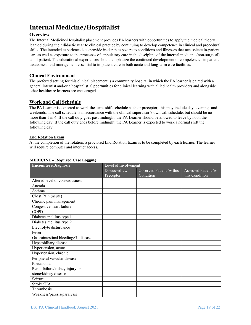# **Internal Medicine/Hospitalist**

#### **Overview**

The Internal Medicine/Hospitalist placement provides PA learners with opportunities to apply the medical theory learned during their didactic year to clinical practice by continuing to develop competence in clinical and procedural skills. The intended experience is to provide in-depth exposure to conditions and illnesses that necessitate in-patient care as well as exposure to the processes of ambulatory care in the discipline of the internal medicine (non-surgical) adult patient. The educational experiences should emphasize the continued development of competencies in patient assessment and management essential to in-patient care in both acute and long-term care facilities.

#### **Clinical Environment**

The preferred setting for this clinical placement is a community hospital in which the PA learner is paired with a general internist and/or a hospitalist. Opportunities for clinical learning with allied health providers and alongside other healthcare learners are encouraged.

#### **Work and Call Schedule**

The PA Learner is expected to work the same shift schedule as their preceptor; this may include day, evenings and weekends. The call schedule is in accordance with the clinical supervisor's own call schedule, but should be no more than 1 in 4. If the call duty goes past midnight, the PA Learner should be allowed to leave by noon the following day. If the call duty ends before midnight, the PA Learner is expected to work a normal shift the following day.

#### **End Rotation Exam**

At the completion of the rotation, a proctored End Rotation Exam is to be completed by each learner. The learner will require computer and internet access.

| <b>Encounters/Diagnosis</b>          | Level of Involvement |                          |                     |
|--------------------------------------|----------------------|--------------------------|---------------------|
|                                      | Discussed /w         | Observed Patient /w this | Assessed Patient /w |
|                                      | Preceptor            | Condition                | this Condition      |
| Altered level of consciousness       |                      |                          |                     |
| Anemia                               |                      |                          |                     |
| Asthma                               |                      |                          |                     |
| Chest Pain (acute)                   |                      |                          |                     |
| Chronic pain management              |                      |                          |                     |
| Congestive heart failure             |                      |                          |                     |
| <b>COPD</b>                          |                      |                          |                     |
| Diabetes mellitus type 1             |                      |                          |                     |
| Diabetes mellitus type 2             |                      |                          |                     |
| Electrolyte disturbance              |                      |                          |                     |
| Fever                                |                      |                          |                     |
| Gastrointestinal bleeding/GI disease |                      |                          |                     |
| Hepatobiliary disease                |                      |                          |                     |
| Hypertension, acute                  |                      |                          |                     |
| Hypertension, chronic                |                      |                          |                     |
| Peripheral vascular disease          |                      |                          |                     |
| Pneumonia                            |                      |                          |                     |
| Renal failure/kidney injury or       |                      |                          |                     |
| stone/kidney disease                 |                      |                          |                     |
| Seizure                              |                      |                          |                     |
| Stroke/TIA                           |                      |                          |                     |
| Thrombosis                           |                      |                          |                     |
| Weakness/paresis/paralysis           |                      |                          |                     |

#### **MEDICINE – Required Case Logging**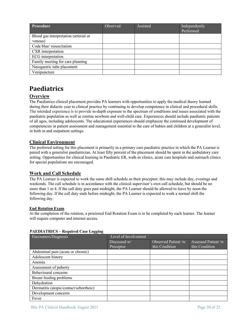| Procedure                             | Observed | Assisted | Independently<br>Performed |
|---------------------------------------|----------|----------|----------------------------|
| Blood gas interpretation (arterial or |          |          |                            |
| venous)                               |          |          |                            |
| Code blue/resuscitation               |          |          |                            |
| CXR interpretation                    |          |          |                            |
| ECG interpretation                    |          |          |                            |
| Family meeting for care planning      |          |          |                            |
| Nasogastric tube placement            |          |          |                            |
| Venipuncture                          |          |          |                            |

# **Paediatrics**

### **Overview**

The Paediatrics clinical placement provides PA learners with opportunities to apply the medical theory learned during their didactic year to clinical practice by continuing to develop competence in clinical and procedural skills. The intended experience is to provide in-depth exposure to the spectrum of conditions and issues associated with the paediatric population as well as routine newborn and well-child care. Experiences should include paediatric patients of all ages, including adolescents. The educational experiences should emphasize the continued development of competencies in patient assessment and management essential to the care of babies and children at a generalist level, in both in and outpatient settings.

#### **Clinical Environment**

The preferred setting for this placement is primarily in a primary care paediatric practice in which the PA Learner is paired with a generalist paediatrician. At least fifty percent of the placement should be spent in the ambulatory care setting. Opportunities for clinical learning in Paediatric ER, walk-in clinics, acute care hospitals and outreach clinics for special populations are encouraged.

#### **Work and Call Schedule**

The PA Learner is expected to work the same shift schedule as their preceptor; this may include day, evenings and weekends. The call schedule is in accordance with the clinical supervisor's own call schedule, but should be no more than 1 in 4. If the call duty goes past midnight, the PA Learner should be allowed to leave by noon the following day. If the call duty ends before midnight, the PA Learner is expected to work a normal shift the following day.

#### **End Rotation Exam**

At the completion of the rotation, a proctored End Rotation Exam is to be completed by each learner. The learner will require computer and internet access.

#### **PAEDIATRICS – Required Case Logging**

| Encounters/Diagnosis                   | Level of Involvement |                     |                    |
|----------------------------------------|----------------------|---------------------|--------------------|
|                                        | Discussed w/         | Observed Patient /w | Assessed Patient/w |
|                                        | Preceptor            | this Condition      | this Condition     |
| Abdominal pain (acute or chronic)      |                      |                     |                    |
| Adolescent history                     |                      |                     |                    |
| Anemia                                 |                      |                     |                    |
| Assessment of puberty                  |                      |                     |                    |
| Behavioural concerns                   |                      |                     |                    |
| Breast feeding problems                |                      |                     |                    |
| Dehydration                            |                      |                     |                    |
| Dermatitis (atopic/contact/seborrheic) |                      |                     |                    |
| Development concerns                   |                      |                     |                    |
| Fever                                  |                      |                     |                    |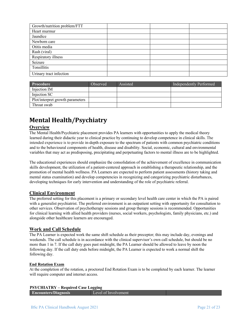| Growth/nutrition problem/FTT |  |  |
|------------------------------|--|--|
| Heart murmur                 |  |  |
| Jaundice                     |  |  |
| Newborn care                 |  |  |
| Otitis media                 |  |  |
| Rash (viral)                 |  |  |
| Respiratory illness          |  |  |
| Seizure                      |  |  |
| Tonsillitis                  |  |  |
| Urinary tract infection      |  |  |

| <b>Procedure</b>                 | Observed | Assisted | Independently Performed |
|----------------------------------|----------|----------|-------------------------|
| Injection IM                     |          |          |                         |
| Injection SC                     |          |          |                         |
| Plot/interpret growth parameters |          |          |                         |
| Throat swab                      |          |          |                         |

# **Mental Health/Psychiatry**

## **Overview**

The Mental Health/Psychiatric placement provides PA learners with opportunities to apply the medical theory learned during their didactic year to clinical practice by continuing to develop competence in clinical skills. The intended experience is to provide in-depth exposure to the spectrum of patients with common psychiatric conditions and to the behavioural components of health, disease and disability. Social, economic, cultural and environmental variables that may act as predisposing, precipitating and perpetuating factors to mental illness are to be highlighted.

The educational experiences should emphasize the consolidation of the achievement of excellence in communication skills development, the utilization of a patient-centered approach in establishing a therapeutic relationship, and the promotion of mental health wellness. PA Learners are expected to perform patient assessments (history taking and mental status examination) and develop competencies in recognizing and categorizing psychiatric disturbances, developing techniques for early intervention and understanding of the role of psychiatric referral.

#### **Clinical Environment**

The preferred setting for this placement is a primary or secondary level health care center in which the PA is paired with a generalist psychiatrist. The preferred environment is an outpatient setting with opportunity for consultation to other services. Observation of psychotherapy sessions and group therapy sessions is recommended. Opportunities for clinical learning with allied health providers (nurses, social workers, psychologists, family physicians, etc.) and alongside other healthcare learners are encouraged.

#### **Work and Call Schedule**

The PA Learner is expected work the same shift schedule as their preceptor; this may include day, evenings and weekends. The call schedule is in accordance with the clinical supervisor's own call schedule, but should be no more than 1 in 7. If the call duty goes past midnight, the PA Learner should be allowed to leave by noon the following day. If the call duty ends before midnight, the PA Learner is expected to work a normal shift the following day.

#### **End Rotation Exam**

At the completion of the rotation, a proctored End Rotation Exam is to be completed by each learner. The learner will require computer and internet access.

#### **PSYCHIATRY – Required Case Logging**